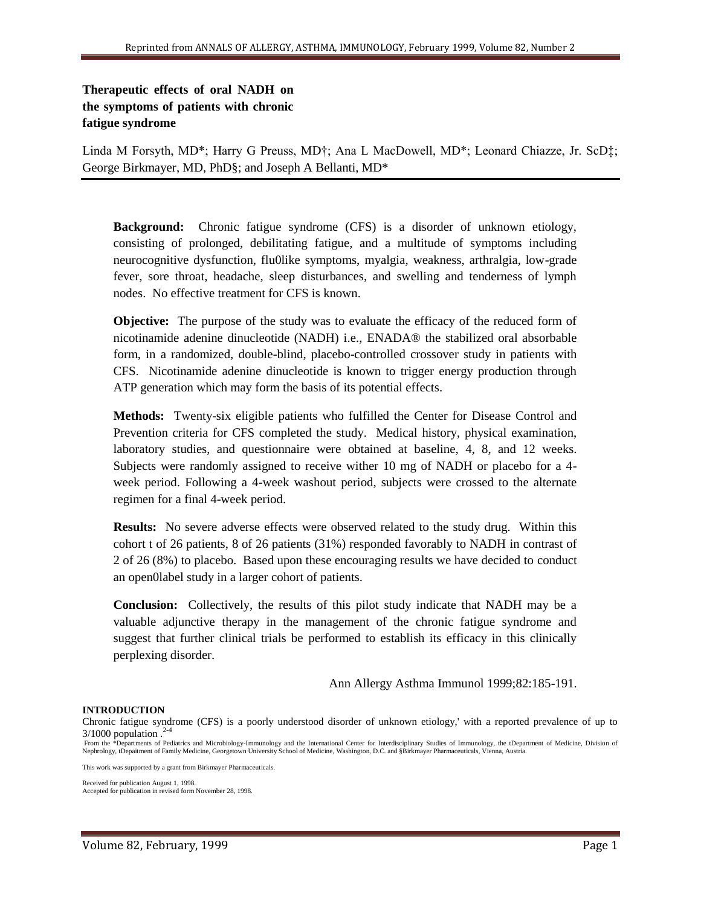# **Therapeutic effects of oral NADH on the symptoms of patients with chronic fatigue syndrome**

Linda M Forsyth, MD\*; Harry G Preuss, MD†; Ana L MacDowell, MD\*; Leonard Chiazze, Jr. ScD‡; George Birkmayer, MD, PhD§; and Joseph A Bellanti, MD\*

**Background:** Chronic fatigue syndrome (CFS) is a disorder of unknown etiology, consisting of prolonged, debilitating fatigue, and a multitude of symptoms including neurocognitive dysfunction, flu0like symptoms, myalgia, weakness, arthralgia, low-grade fever, sore throat, headache, sleep disturbances, and swelling and tenderness of lymph nodes. No effective treatment for CFS is known.

**Objective:** The purpose of the study was to evaluate the efficacy of the reduced form of nicotinamide adenine dinucleotide (NADH) i.e., ENADA® the stabilized oral absorbable form, in a randomized, double-blind, placebo-controlled crossover study in patients with CFS. Nicotinamide adenine dinucleotide is known to trigger energy production through ATP generation which may form the basis of its potential effects.

**Methods:** Twenty-six eligible patients who fulfilled the Center for Disease Control and Prevention criteria for CFS completed the study. Medical history, physical examination, laboratory studies, and questionnaire were obtained at baseline, 4, 8, and 12 weeks. Subjects were randomly assigned to receive wither 10 mg of NADH or placebo for a 4 week period. Following a 4-week washout period, subjects were crossed to the alternate regimen for a final 4-week period.

**Results:** No severe adverse effects were observed related to the study drug. Within this cohort t of 26 patients, 8 of 26 patients (31%) responded favorably to NADH in contrast of 2 of 26 (8%) to placebo. Based upon these encouraging results we have decided to conduct an open0label study in a larger cohort of patients.

**Conclusion:** Collectively, the results of this pilot study indicate that NADH may be a valuable adjunctive therapy in the management of the chronic fatigue syndrome and suggest that further clinical trials be performed to establish its efficacy in this clinically perplexing disorder.

Ann Allergy Asthma Immunol 1999;82:185-191.

#### **INTRODUCTION**

Chronic fatigue syndrome (CFS) is a poorly understood disorder of unknown etiology,' with a reported prevalence of up to  $3/1000$  population  $.^{2-4}$ 

From the \*Departments of Pediatrics and Microbiology-Immunology and the International Center for Interdisciplinary Studies of Immunology, the tDepartment of Medicine, Division of Nephrology, tDepaitment of Family Medicine, Georgetown University School of Medicine, Washington, D.C. and §Birkmayer Pharmaceuticals, Vienna, Austria.

This work was supported by a grant from Birkmayer Pharmaceuticals.

Received for publication August 1, 1998. Accepted for publication in revised form November 28, 1998.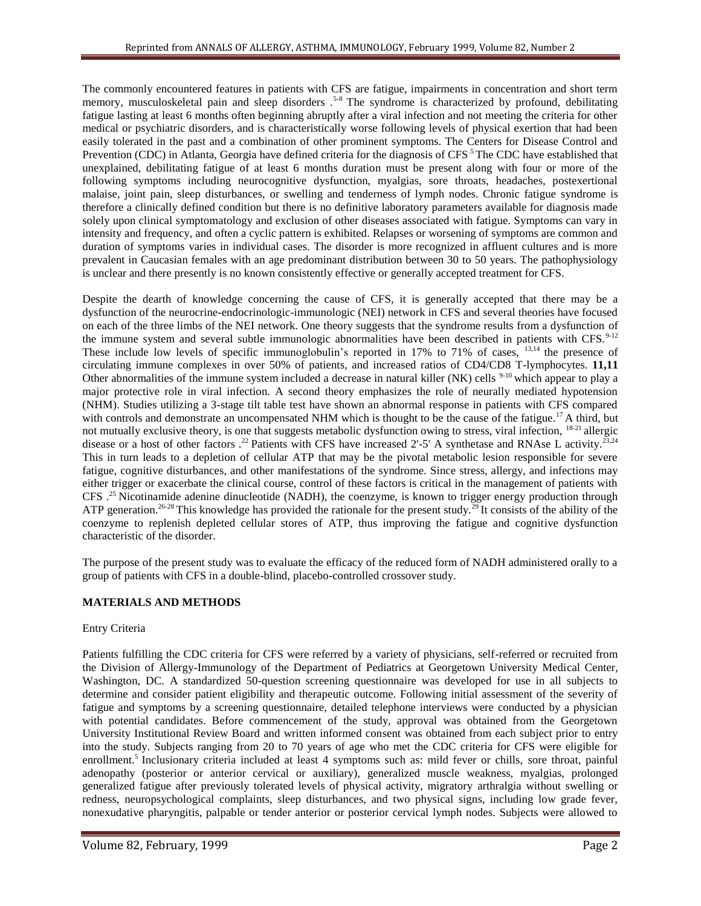The commonly encountered features in patients with CFS are fatigue, impairments in concentration and short term memory, musculoskeletal pain and sleep disorders .<sup>5-8</sup> The syndrome is characterized by profound, debilitating fatigue lasting at least 6 months often beginning abruptly after a viral infection and not meeting the criteria for other medical or psychiatric disorders, and is characteristically worse following levels of physical exertion that had been easily tolerated in the past and a combination of other prominent symptoms. The Centers for Disease Control and Prevention (CDC) in Atlanta, Georgia have defined criteria for the diagnosis of  $CFS<sup>5</sup>$  The CDC have established that unexplained, debilitating fatigue of at least 6 months duration must be present along with four or more of the following symptoms including neurocognitive dysfunction, myalgias, sore throats, headaches, postexertional malaise, joint pain, sleep disturbances, or swelling and tenderness of lymph nodes. Chronic fatigue syndrome is therefore a clinically defined condition but there is no definitive laboratory parameters available for diagnosis made solely upon clinical symptomatology and exclusion of other diseases associated with fatigue. Symptoms can vary in intensity and frequency, and often a cyclic pattern is exhibited. Relapses or worsening of symptoms are common and duration of symptoms varies in individual cases. The disorder is more recognized in affluent cultures and is more prevalent in Caucasian females with an age predominant distribution between 30 to 50 years. The pathophysiology is unclear and there presently is no known consistently effective or generally accepted treatment for CFS.

Despite the dearth of knowledge concerning the cause of CFS, it is generally accepted that there may be a dysfunction of the neurocrine-endocrinologic-immunologic (NEI) network in CFS and several theories have focused on each of the three limbs of the NEI network. One theory suggests that the syndrome results from a dysfunction of the immune system and several subtle immunologic abnormalities have been described in patients with CFS.<sup>9-12</sup> These include low levels of specific immunoglobulin's reported in 17% to 71% of cases, <sup>13,14</sup> the presence of circulating immune complexes in over 50% of patients, and increased ratios of CD4/CD8 T-lymphocytes. **11,11**  Other abnormalities of the immune system included a decrease in natural killer (NK) cells  $9-10$  which appear to play a major protective role in viral infection. A second theory emphasizes the role of neurally mediated hypotension (NHM). Studies utilizing a 3-stage tilt table test have shown an abnormal response in patients with CFS compared with controls and demonstrate an uncompensated NHM which is thought to be the cause of the fatigue.<sup>17</sup> A third, but not mutually exclusive theory, is one that suggests metabolic dysfunction owing to stress, viral infection, <sup>18-21</sup> allergic disease or a host of other factors  $^{22}$  Patients with CFS have increased 2'-5' A synthetase and RNAse L activity.<sup>23,24</sup> This in turn leads to a depletion of cellular ATP that may be the pivotal metabolic lesion responsible for severe fatigue, cognitive disturbances, and other manifestations of the syndrome. Since stress, allergy, and infections may either trigger or exacerbate the clinical course, control of these factors is critical in the management of patients with CFS .<sup>25</sup> Nicotinamide adenine dinucleotide (NADH), the coenzyme, is known to trigger energy production through ATP generation.<sup>26-28</sup> This knowledge has provided the rationale for the present study.<sup>29</sup> It consists of the ability of the coenzyme to replenish depleted cellular stores of ATP, thus improving the fatigue and cognitive dysfunction characteristic of the disorder.

The purpose of the present study was to evaluate the efficacy of the reduced form of NADH administered orally to a group of patients with CFS in a double-blind, placebo-controlled crossover study.

# **MATERIALS AND METHODS**

## Entry Criteria

Patients fulfilling the CDC criteria for CFS were referred by a variety of physicians, self-referred or recruited from the Division of Allergy-Immunology of the Department of Pediatrics at Georgetown University Medical Center, Washington, DC. A standardized 50-question screening questionnaire was developed for use in all subjects to determine and consider patient eligibility and therapeutic outcome. Following initial assessment of the severity of fatigue and symptoms by a screening questionnaire, detailed telephone interviews were conducted by a physician with potential candidates. Before commencement of the study, approval was obtained from the Georgetown University Institutional Review Board and written informed consent was obtained from each subject prior to entry into the study. Subjects ranging from 20 to 70 years of age who met the CDC criteria for CFS were eligible for enrollment.<sup>5</sup> Inclusionary criteria included at least 4 symptoms such as: mild fever or chills, sore throat, painful adenopathy (posterior or anterior cervical or auxiliary), generalized muscle weakness, myalgias, prolonged generalized fatigue after previously tolerated levels of physical activity, migratory arthralgia without swelling or redness, neuropsychological complaints, sleep disturbances, and two physical signs, including low grade fever, nonexudative pharyngitis, palpable or tender anterior or posterior cervical lymph nodes. Subjects were allowed to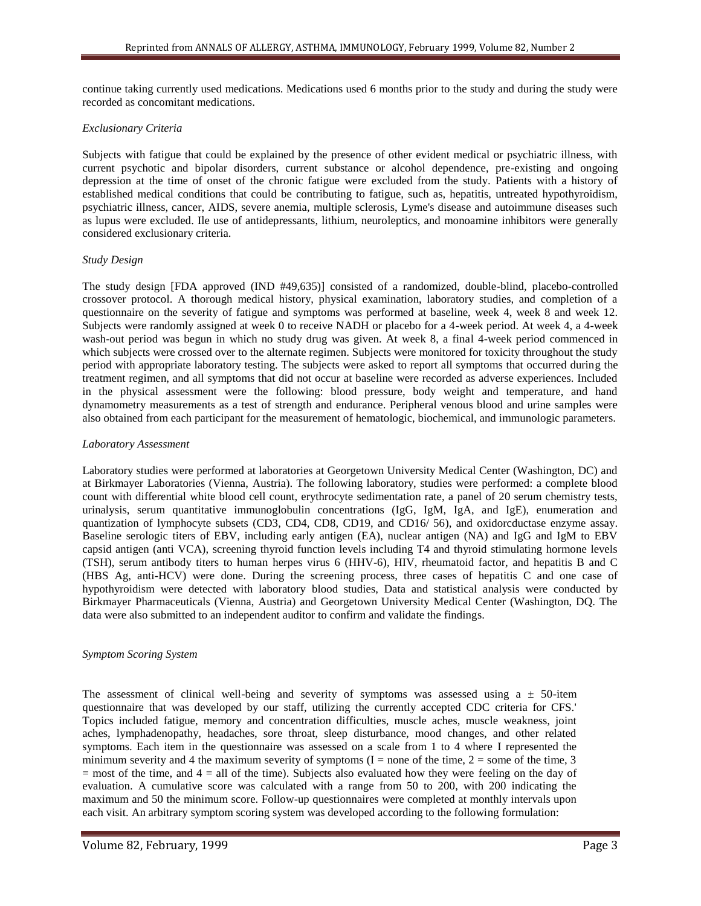continue taking currently used medications. Medications used 6 months prior to the study and during the study were recorded as concomitant medications.

#### *Exclusionary Criteria*

Subjects with fatigue that could be explained by the presence of other evident medical or psychiatric illness, with current psychotic and bipolar disorders, current substance or alcohol dependence, pre-existing and ongoing depression at the time of onset of the chronic fatigue were excluded from the study. Patients with a history of established medical conditions that could be contributing to fatigue, such as, hepatitis, untreated hypothyroidism, psychiatric illness, cancer, AIDS, severe anemia, multiple sclerosis, Lyme's disease and autoimmune diseases such as lupus were excluded. Ile use of antidepressants, lithium, neuroleptics, and monoamine inhibitors were generally considered exclusionary criteria.

#### *Study Design*

The study design [FDA approved (IND #49,635)] consisted of a randomized, double-blind, placebo-controlled crossover protocol. A thorough medical history, physical examination, laboratory studies, and completion of a questionnaire on the severity of fatigue and symptoms was performed at baseline, week 4, week 8 and week 12. Subjects were randomly assigned at week 0 to receive NADH or placebo for a 4-week period. At week 4, a 4-week wash-out period was begun in which no study drug was given. At week 8, a final 4-week period commenced in which subjects were crossed over to the alternate regimen. Subjects were monitored for toxicity throughout the study period with appropriate laboratory testing. The subjects were asked to report all symptoms that occurred during the treatment regimen, and all symptoms that did not occur at baseline were recorded as adverse experiences. Included in the physical assessment were the following: blood pressure, body weight and temperature, and hand dynamometry measurements as a test of strength and endurance. Peripheral venous blood and urine samples were also obtained from each participant for the measurement of hematologic, biochemical, and immunologic parameters.

#### *Laboratory Assessment*

Laboratory studies were performed at laboratories at Georgetown University Medical Center (Washington, DC) and at Birkmayer Laboratories (Vienna, Austria). The following laboratory, studies were performed: a complete blood count with differential white blood cell count, erythrocyte sedimentation rate, a panel of 20 serum chemistry tests, urinalysis, serum quantitative immunoglobulin concentrations (IgG, IgM, IgA, and IgE), enumeration and quantization of lymphocyte subsets (CD3, CD4, CD8, CD19, and CD16/ 56), and oxidorcductase enzyme assay. Baseline serologic titers of EBV, including early antigen (EA), nuclear antigen (NA) and IgG and IgM to EBV capsid antigen (anti VCA), screening thyroid function levels including T4 and thyroid stimulating hormone levels (TSH), serum antibody titers to human herpes virus 6 (HHV-6), HIV, rheumatoid factor, and hepatitis B and C (HBS Ag, anti-HCV) were done. During the screening process, three cases of hepatitis C and one case of hypothyroidism were detected with laboratory blood studies, Data and statistical analysis were conducted by Birkmayer Pharmaceuticals (Vienna, Austria) and Georgetown University Medical Center (Washington, DQ. The data were also submitted to an independent auditor to confirm and validate the findings.

#### *Symptom Scoring System*

The assessment of clinical well-being and severity of symptoms was assessed using a  $\pm$  50-item questionnaire that was developed by our staff, utilizing the currently accepted CDC criteria for CFS.' Topics included fatigue, memory and concentration difficulties, muscle aches, muscle weakness, joint aches, lymphadenopathy, headaches, sore throat, sleep disturbance, mood changes, and other related symptoms. Each item in the questionnaire was assessed on a scale from 1 to 4 where I represented the minimum severity and 4 the maximum severity of symptoms  $(I = none$  of the time,  $2 = some$  of the time, 3  $=$  most of the time, and  $4 =$  all of the time). Subjects also evaluated how they were feeling on the day of evaluation. A cumulative score was calculated with a range from 50 to 200, with 200 indicating the maximum and 50 the minimum score. Follow-up questionnaires were completed at monthly intervals upon each visit. An arbitrary symptom scoring system was developed according to the following formulation: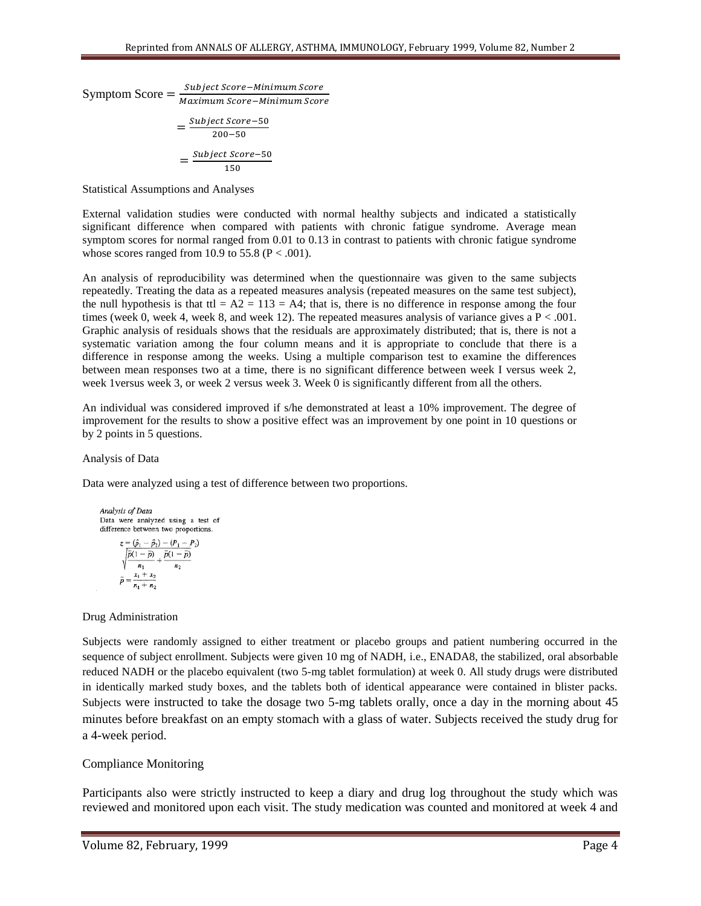Symptom Score =  $\frac{s}{\mu}$ M S  $\overline{\mathbf{c}}$ S  $\mathbf{1}$ 

Statistical Assumptions and Analyses

External validation studies were conducted with normal healthy subjects and indicated a statistically significant difference when compared with patients with chronic fatigue syndrome. Average mean symptom scores for normal ranged from 0.01 to 0.13 in contrast to patients with chronic fatigue syndrome whose scores ranged from 10.9 to 55.8 ( $P < .001$ ).

An analysis of reproducibility was determined when the questionnaire was given to the same subjects repeatedly. Treating the data as a repeated measures analysis (repeated measures on the same test subject), the null hypothesis is that ttl =  $A2 = 113 = A4$ ; that is, there is no difference in response among the four times (week 0, week 4, week 8, and week 12). The repeated measures analysis of variance gives a  $P < .001$ . Graphic analysis of residuals shows that the residuals are approximately distributed; that is, there is not a systematic variation among the four column means and it is appropriate to conclude that there is a difference in response among the weeks. Using a multiple comparison test to examine the differences between mean responses two at a time, there is no significant difference between week I versus week 2, week 1versus week 3, or week 2 versus week 3. Week 0 is significantly different from all the others.

An individual was considered improved if s/he demonstrated at least a 10% improvement. The degree of improvement for the results to show a positive effect was an improvement by one point in 10 questions or by 2 points in 5 questions.

Analysis of Data

Data were analyzed using a test of difference between two proportions.

Analysis of Data  
\nData were analyzed using a test of  
\ndifference between two proportions.  
\n
$$
z = (\hat{p}_1 - \hat{p}_2) - (P_1 - P_2)
$$
\n
$$
\sqrt{\frac{\bar{p}(1-\bar{p})}{n_1} + \frac{\bar{p}(1-\bar{p})}{n_2}}
$$
\n
$$
\bar{p} = \frac{x_1 + x_2}{n_1 + n_2}
$$

### Drug Administration

Subjects were randomly assigned to either treatment or placebo groups and patient numbering occurred in the sequence of subject enrollment. Subjects were given 10 mg of NADH, i.e., ENADA8, the stabilized, oral absorbable reduced NADH or the placebo equivalent (two 5-mg tablet formulation) at week 0. All study drugs were distributed in identically marked study boxes, and the tablets both of identical appearance were contained in blister packs. Subjects were instructed to take the dosage two 5-mg tablets orally, once a day in the morning about 45 minutes before breakfast on an empty stomach with a glass of water. Subjects received the study drug for a 4-week period.

### Compliance Monitoring

Participants also were strictly instructed to keep a diary and drug log throughout the study which was reviewed and monitored upon each visit. The study medication was counted and monitored at week 4 and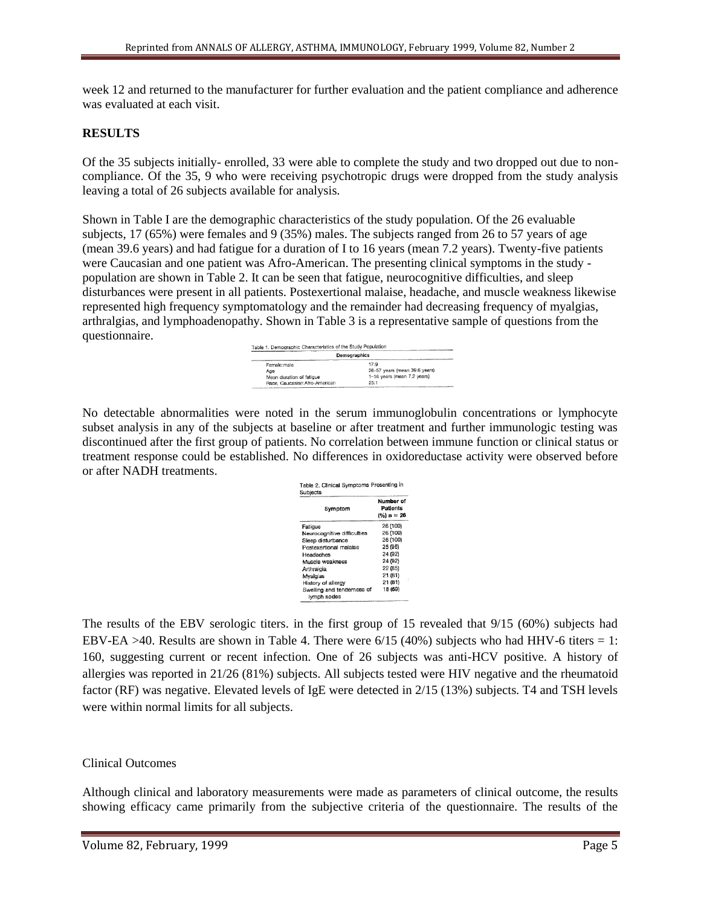week 12 and returned to the manufacturer for further evaluation and the patient compliance and adherence was evaluated at each visit.

## **RESULTS**

Of the 35 subjects initially- enrolled, 33 were able to complete the study and two dropped out due to noncompliance. Of the 35, 9 who were receiving psychotropic drugs were dropped from the study analysis leaving a total of 26 subjects available for analysis.

Shown in Table I are the demographic characteristics of the study population. Of the 26 evaluable subjects, 17 (65%) were females and 9 (35%) males. The subjects ranged from 26 to 57 years of age (mean 39.6 years) and had fatigue for a duration of I to 16 years (mean 7.2 years). Twenty-five patients were Caucasian and one patient was Afro-American. The presenting clinical symptoms in the study population are shown in Table 2. It can be seen that fatigue, neurocognitive difficulties, and sleep disturbances were present in all patients. Postexertional malaise, headache, and muscle weakness likewise represented high frequency symptomatology and the remainder had decreasing frequency of myalgias, arthralgias, and lymphoadenopathy. Shown in Table 3 is a representative sample of questions from the questionnaire.

| Demographics                  |                               |  |
|-------------------------------|-------------------------------|--|
| Female:male                   | 17.9                          |  |
| Age                           | 26-57 years (mean 39.6 years) |  |
| Mean duration of fatigue      | 1-16 years (mean 7.2 years)   |  |
| Race, Caucasian:Afro-American | 25:1                          |  |

No detectable abnormalities were noted in the serum immunoglobulin concentrations or lymphocyte subset analysis in any of the subjects at baseline or after treatment and further immunologic testing was discontinued after the first group of patients. No correlation between immune function or clinical status or treatment response could be established. No differences in oxidoreductase activity were observed before or after NADH treatments.

| Symptom                                   | Number of<br>Patients<br>$(%) n = 26$ |  |  |
|-------------------------------------------|---------------------------------------|--|--|
| Fatigue                                   | 26 (100)                              |  |  |
| Neurocognitive difficulties               | 26 (100)                              |  |  |
| Sleep disturbance                         | 26 (100)                              |  |  |
| Postexertional malaise                    | 25 (96)                               |  |  |
| Headaches                                 | 24 (92)                               |  |  |
| Muscle weakness                           | 24 (92)                               |  |  |
| Arthraigia                                | 22 (85)                               |  |  |
| Myalgias                                  | 21 (81)                               |  |  |
| History of allergy                        | 21 (81)                               |  |  |
| Swelling and tenderness of<br>lymph nodes | 18 (69)                               |  |  |

The results of the EBV serologic titers. in the first group of 15 revealed that 9/15 (60%) subjects had EBV-EA >40. Results are shown in Table 4. There were  $6/15$  (40%) subjects who had HHV-6 titers = 1: 160, suggesting current or recent infection. One of 26 subjects was anti-HCV positive. A history of allergies was reported in 21/26 (81%) subjects. All subjects tested were HIV negative and the rheumatoid factor (RF) was negative. Elevated levels of IgE were detected in 2/15 (13%) subjects. T4 and TSH levels were within normal limits for all subjects.

## Clinical Outcomes

Although clinical and laboratory measurements were made as parameters of clinical outcome, the results showing efficacy came primarily from the subjective criteria of the questionnaire. The results of the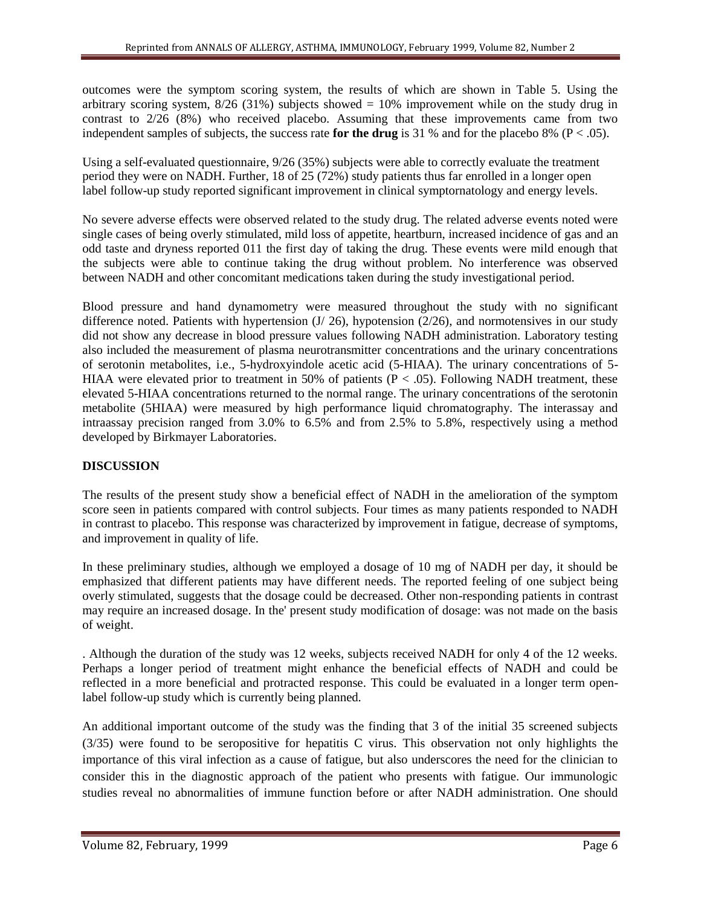outcomes were the symptom scoring system, the results of which are shown in Table 5. Using the arbitrary scoring system,  $8/26$  (31%) subjects showed = 10% improvement while on the study drug in contrast to 2/26 (8%) who received placebo. Assuming that these improvements came from two independent samples of subjects, the success rate **for the drug** is 31 % and for the placebo 8% ( $P < .05$ ).

Using a self-evaluated questionnaire, 9/26 (35%) subjects were able to correctly evaluate the treatment period they were on NADH. Further, 18 of 25 (72%) study patients thus far enrolled in a longer open label follow-up study reported significant improvement in clinical symptornatology and energy levels.

No severe adverse effects were observed related to the study drug. The related adverse events noted were single cases of being overly stimulated, mild loss of appetite, heartburn, increased incidence of gas and an odd taste and dryness reported 011 the first day of taking the drug. These events were mild enough that the subjects were able to continue taking the drug without problem. No interference was observed between NADH and other concomitant medications taken during the study investigational period.

Blood pressure and hand dynamometry were measured throughout the study with no significant difference noted. Patients with hypertension  $(J/26)$ , hypotension  $(2/26)$ , and normotensives in our study did not show any decrease in blood pressure values following NADH administration. Laboratory testing also included the measurement of plasma neurotransmitter concentrations and the urinary concentrations of serotonin metabolites, i.e., 5-hydroxyindole acetic acid (5-HIAA). The urinary concentrations of 5- HIAA were elevated prior to treatment in 50% of patients ( $P < .05$ ). Following NADH treatment, these elevated 5-HIAA concentrations returned to the normal range. The urinary concentrations of the serotonin metabolite (5HIAA) were measured by high performance liquid chromatography. The interassay and intraassay precision ranged from 3.0% to 6.5% and from 2.5% to 5.8%, respectively using a method developed by Birkmayer Laboratories.

# **DISCUSSION**

The results of the present study show a beneficial effect of NADH in the amelioration of the symptom score seen in patients compared with control subjects. Four times as many patients responded to NADH in contrast to placebo. This response was characterized by improvement in fatigue, decrease of symptoms, and improvement in quality of life.

In these preliminary studies, although we employed a dosage of 10 mg of NADH per day, it should be emphasized that different patients may have different needs. The reported feeling of one subject being overly stimulated, suggests that the dosage could be decreased. Other non-responding patients in contrast may require an increased dosage. In the' present study modification of dosage: was not made on the basis of weight.

. Although the duration of the study was 12 weeks, subjects received NADH for only 4 of the 12 weeks. Perhaps a longer period of treatment might enhance the beneficial effects of NADH and could be reflected in a more beneficial and protracted response. This could be evaluated in a longer term openlabel follow-up study which is currently being planned.

An additional important outcome of the study was the finding that 3 of the initial 35 screened subjects (3/35) were found to be seropositive for hepatitis C virus. This observation not only highlights the importance of this viral infection as a cause of fatigue, but also underscores the need for the clinician to consider this in the diagnostic approach of the patient who presents with fatigue. Our immunologic studies reveal no abnormalities of immune function before or after NADH administration. One should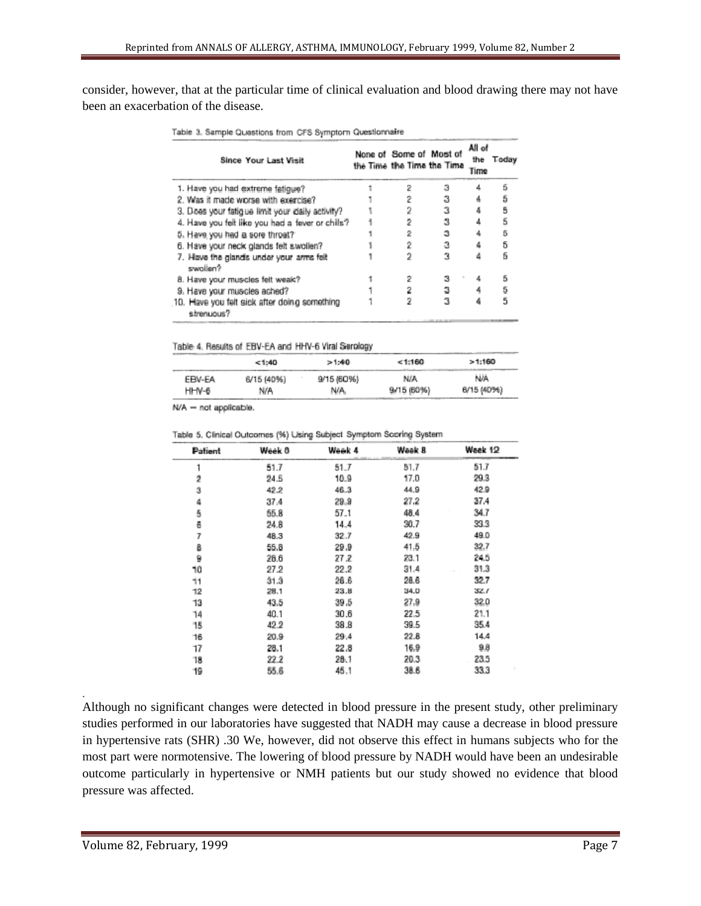consider, however, that at the particular time of clinical evaluation and blood drawing there may not have been an exacerbation of the disease.

|  |  |  | Table 3. Sample Questions from CFS Symptorn Questionnaire |
|--|--|--|-----------------------------------------------------------|
|  |  |  |                                                           |

| Since Your Last Visit                                      | None of Some of Most of<br>the Time the Time the Time | All of<br>Time | the Today |
|------------------------------------------------------------|-------------------------------------------------------|----------------|-----------|
| 1. Have you had extreme fatigue?                           | 2                                                     |                | Б         |
| 2. Was it made worse with exercise?                        |                                                       |                | ã         |
| 3. Does your fatigue limit your daily activity?            |                                                       |                |           |
| 4. Have you felt like you had a fever or chils?            |                                                       |                |           |
| 5. Have you had a sore throat?                             |                                                       |                | 5         |
| 6. Have your neck glands felt swollen?                     |                                                       |                | 5         |
| 7. Have the glands under your arms felt<br>swollen?        |                                                       |                |           |
| 8. Have your muscles felt weak?                            |                                                       |                | 5         |
| 9. Have your muscles ached?                                |                                                       |                | 5         |
| 10. Have you felt sick after doing something<br>strenuous? |                                                       |                | 5         |

Table 4. Results of EBV-EA and HHV-6 Viral Serology

|        | < 1:40     | >1:40      | 1:160      | >1:160     |
|--------|------------|------------|------------|------------|
| EBV-EA | 6/15 (40%) | 9/15 (60%) | N/A        | <b>N/A</b> |
| HHV-6  | N/A        | N/A.       | 9/15 (60%) | 6/15 (40%) |

N/A - not applicable.

Table 5. Clinical Outcomes (%) Using Subject Symptom Scoring System

| Patient | Week 0 | Week 4   | Week 8 | Week 12 |
|---------|--------|----------|--------|---------|
|         | 51.7   | 51.7     | 51.7   | 51.7    |
| 2       | 24.5   | 10.9     | 17.0   | 29.3    |
| 3       | 42.2   | 46.3     | 44.9   | 42.9    |
| 4       | 37.4   | $29 - 9$ | 27.2   | 37.4    |
| 5       | 55.8   | 57.1     | 48.4   | 34.7    |
| 6       | 24.8   | 14.4     | 30.7   | 33.3    |
| 7       | 48.3   | 32.7     | 42.9   | 49.0    |
| 8       | 55.8   | 29.9     | 41.5   | 32,7    |
| 9       | 26.6   | 27.2     | 23.1   | 24.5    |
| 10      | 27.2   | 22.2     | 31.4   | 31.3    |
| 11      | 31.3   | 26.6     | 28.6   | 32.7    |
| 12      | 28.1   | 23.B     | 34.D   | 32.1    |
| 13      | 43.5   | 39.5     | 27.9   | 32.0    |
| 14      | 40.1   | 30.6     | 22.5   | 21.1    |
| 15      | 42.2   | 38.8     | 39.5   | 35.4    |
| 16      | 20.9   | 29.4     | 22.8   | 14.4    |
| 17      | 28.1   | 22.8     | 16.9   | 9.8     |
| 18      | 22.2   | 28.1     | 20.3   | 23.5    |
| 19      | 55.6   | 45.1     | 38.6   | 33.3    |

Although no significant changes were detected in blood pressure in the present study, other preliminary studies performed in our laboratories have suggested that NADH may cause a decrease in blood pressure in hypertensive rats (SHR) .30 We, however, did not observe this effect in humans subjects who for the most part were normotensive. The lowering of blood pressure by NADH would have been an undesirable outcome particularly in hypertensive or NMH patients but our study showed no evidence that blood pressure was affected.

.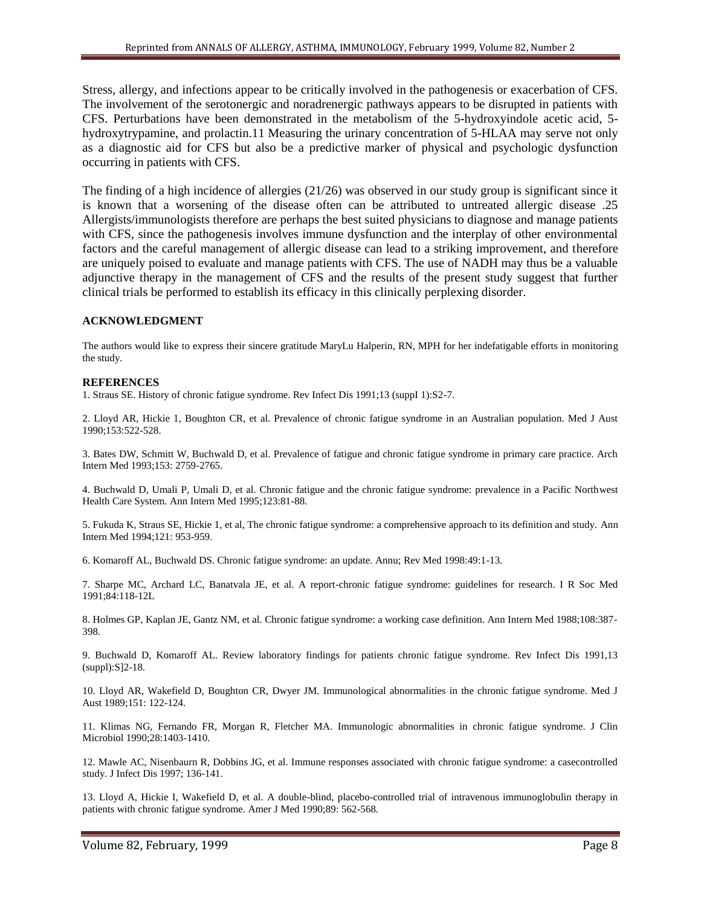Stress, allergy, and infections appear to be critically involved in the pathogenesis or exacerbation of CFS. The involvement of the serotonergic and noradrenergic pathways appears to be disrupted in patients with CFS. Perturbations have been demonstrated in the metabolism of the 5-hydroxyindole acetic acid, 5 hydroxytrypamine, and prolactin.11 Measuring the urinary concentration of 5-HLAA may serve not only as a diagnostic aid for CFS but also be a predictive marker of physical and psychologic dysfunction occurring in patients with CFS.

The finding of a high incidence of allergies (21/26) was observed in our study group is significant since it is known that a worsening of the disease often can be attributed to untreated allergic disease .25 Allergists/immunologists therefore are perhaps the best suited physicians to diagnose and manage patients with CFS, since the pathogenesis involves immune dysfunction and the interplay of other environmental factors and the careful management of allergic disease can lead to a striking improvement, and therefore are uniquely poised to evaluate and manage patients with CFS. The use of NADH may thus be a valuable adjunctive therapy in the management of CFS and the results of the present study suggest that further clinical trials be performed to establish its efficacy in this clinically perplexing disorder.

### **ACKNOWLEDGMENT**

The authors would like to express their sincere gratitude MaryLu Halperin, RN, MPH for her indefatigable efforts in monitoring the study.

### **REFERENCES**

1. Straus SE. History of chronic fatigue syndrome. Rev Infect Dis 1991;13 (suppI 1):S2-7.

2. Lloyd AR, Hickie 1, Boughton CR, et al. Prevalence of chronic fatigue syndrome in an Australian population. Med J Aust 1990;153:522-528.

3. Bates DW, Schmitt W, Buchwald D, et al. Prevalence of fatigue and chronic fatigue syndrome in primary care practice. Arch Intern Med 1993;153: 2759-2765.

4. Buchwald D, Umali P, Umali D, et al. Chronic fatigue and the chronic fatigue syndrome: prevalence in a Pacific Northwest Health Care System. Ann Intern Med 1995;123:81-88.

5. Fukuda K, Straus SE, Hickie 1, et al, The chronic fatigue syndrome: a comprehensive approach to its definition and study. Ann Intern Med 1994;121: 953-959.

6. Komaroff AL, Buchwald DS. Chronic fatigue syndrome: an update. Annu; Rev Med 1998:49:1-13.

7. Sharpe MC, Archard LC, Banatvala JE, et al. A report-chronic fatigue syndrome: guidelines for research. I R Soc Med 1991;84:118-12L

8. Holmes GP, Kaplan JE, Gantz NM, et al. Chronic fatigue syndrome: a working case definition. Ann Intern Med 1988;108:387- 398.

9. Buchwald D, Komaroff AL. Review laboratory findings for patients chronic fatigue syndrome. Rev Infect Dis 1991,13 (suppl):S]2-18.

10. Lloyd AR, Wakefield D, Boughton CR, Dwyer JM. Immunological abnormalities in the chronic fatigue syndrome. Med J Aust 1989;151: 122-124.

11. Klimas NG, Fernando FR, Morgan R, Fletcher MA. Immunologic abnormalities in chronic fatigue syndrome. J Clin Microbiol 1990;28:1403-1410.

12. Mawle AC, Nisenbaurn R, Dobbins JG, et al. Immune responses associated with chronic fatigue syndrome: a casecontrolled study. J Infect Dis 1997; 136-141.

13. Lloyd A, Hickie I, Wakefield D, et al. A double-blind, placebo-controlled trial of intravenous immunoglobulin therapy in patients with chronic fatigue syndrome. Amer J Med 1990;89: 562-568.